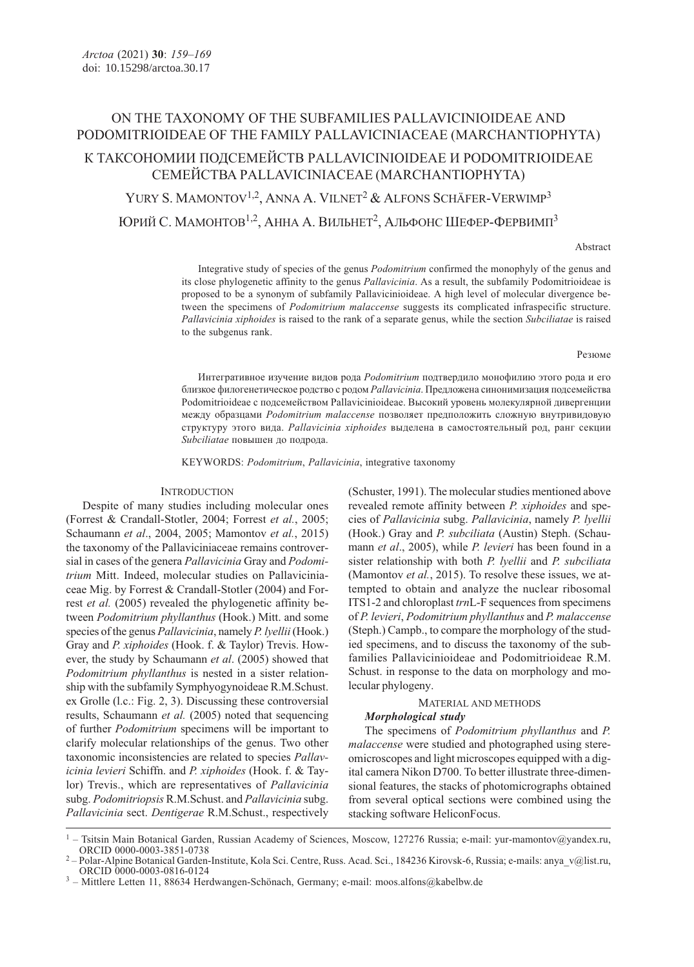# ON THE TAXONOMY OF THE SUBFAMILIES PALLAVICINIOIDEAE AND PODOMITRIOIDEAE OF THE FAMILY PALLAVICINIACEAE (MARCHANTIOPHYTA)

# К ТАКСОНОМИИ ПОДСЕМЕЙСТВ PALLAVICINIOIDEAE И PODOMITRIOIDEAE СЕМЕЙСТВА PALLAVICINIACEAE (MARCHANTIOPHYTA)

YURY S. MAMONTOV<sup>1,2</sup>, ANNA A. VILNET<sup>2</sup> & ALFONS SCHÄFER-VERWIMP<sup>3</sup> ЮРИЙ С. МАМОНТОВ1,2, АННА А. ВИЛЬНЕТ2, АЛЬФОНС ШЕФЕР-ФЕРВИМП<sup>3</sup>

### Abstract

Integrative study of species of the genus Podomitrium confirmed the monophyly of the genus and its close phylogenetic affinity to the genus *Pallavicinia*. As a result, the subfamily Podomitrioideae is proposed to be a synonym of subfamily Pallavicinioideae. A high level of molecular divergence between the specimens of Podomitrium malaccense suggests its complicated infraspecific structure. Pallavicinia xiphoides is raised to the rank of a separate genus, while the section Subciliatae is raised to the subgenus rank.

#### Резюме

Интегративное изучение видов рода Podomitrium подтвердило монофилию этого рода и его близкое филогенетическое родство с родом Pallavicinia. Предложена синонимизация подсемейства Podomitrioideae с подсемейством Pallavicinioideae. Высокий уровень молекулярной дивергенции между образцами Podomitrium malaccense позволяет предположить сложную внутривидовую структуру этого вида. Pallavicinia xiphoides выделена в самостоятельный род, ранг секции Subciliatae повышен до подрода.

KEYWORDS: Podomitrium, Pallavicinia, integrative taxonomy

### **INTRODUCTION**

Despite of many studies including molecular ones (Forrest & Crandall-Stotler, 2004; Forrest et al., 2005; Schaumann et al., 2004, 2005; Mamontov et al., 2015) the taxonomy of the Pallaviciniaceae remains controversial in cases of the genera Pallavicinia Gray and Podomitrium Mitt. Indeed, molecular studies on Pallaviciniaceae Mig. by Forrest & Crandall-Stotler (2004) and Forrest et al. (2005) revealed the phylogenetic affinity between Podomitrium phyllanthus (Hook.) Mitt. and some species of the genus *Pallavicinia*, namely *P. lyellii* (Hook.) Gray and P. xiphoides (Hook. f. & Taylor) Trevis. However, the study by Schaumann et al. (2005) showed that Podomitrium phyllanthus is nested in a sister relationship with the subfamily Symphyogynoideae R.M.Schust. ex Grolle (l.c.: Fig. 2, 3). Discussing these controversial results, Schaumann et al. (2005) noted that sequencing of further Podomitrium specimens will be important to clarify molecular relationships of the genus. Two other taxonomic inconsistencies are related to species Pallavicinia levieri Schiffn. and P. xiphoides (Hook. f. & Taylor) Trevis., which are representatives of Pallavicinia subg. Podomitriopsis R.M.Schust. and Pallavicinia subg. Pallavicinia sect. Dentigerae R.M.Schust., respectively

(Schuster, 1991). The molecular studies mentioned above revealed remote affinity between P. xiphoides and species of Pallavicinia subg. Pallavicinia, namely P. lyellii (Hook.) Gray and P. subciliata (Austin) Steph. (Schaumann et al., 2005), while P. levieri has been found in a sister relationship with both P. lyellii and P. subciliata (Mamontov et al., 2015). To resolve these issues, we attempted to obtain and analyze the nuclear ribosomal ITS1-2 and chloroplast trnL-F sequences from specimens of P. levieri, Podomitrium phyllanthus and P. malaccense (Steph.) Campb., to compare the morphology of the studied specimens, and to discuss the taxonomy of the subfamilies Pallavicinioideae and Podomitrioideae R.M. Schust. in response to the data on morphology and molecular phylogeny.

# MATERIAL AND METHODS

# Morphological study

The specimens of Podomitrium phyllanthus and P. malaccense were studied and photographed using stereomicroscopes and light microscopes equipped with a digital camera Nikon D700. To better illustrate three-dimensional features, the stacks of photomicrographs obtained from several optical sections were combined using the stacking software HeliconFocus.

<sup>1</sup> – Tsitsin Main Botanical Garden, Russian Academy of Sciences, Moscow, 127276 Russia; e-mail: yur-mamontov@yandex.ru,

Polar-Alpine Botanical Garden-Institute, Kola Sci. Centre, Russ. Acad. Sci., 184236 Kirovsk-6, Russia; e-mails: anya\_v@list.ru, ORCID 0000-0003-0816-0124

 $3$  – Mittlere Letten 11, 88634 Herdwangen-Schönach, Germany; e-mail: moos.alfons@kabelbw.de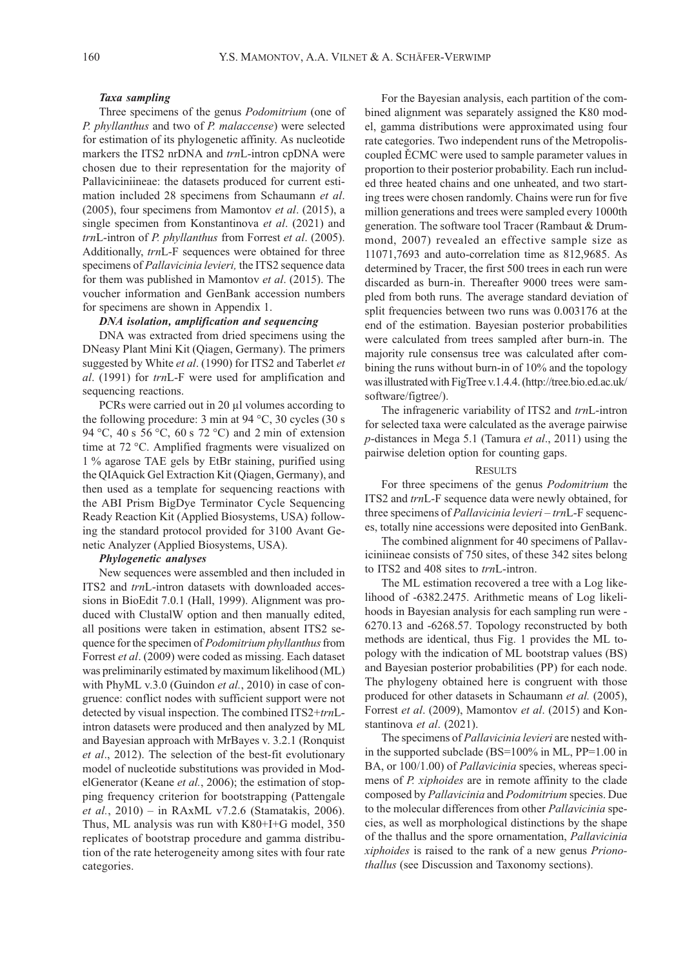### Taxa sampling

Three specimens of the genus *Podomitrium* (one of P. phyllanthus and two of P. malaccense) were selected for estimation of its phylogenetic affinity. As nucleotide markers the ITS2 nrDNA and *trn*L-intron cpDNA were chosen due to their representation for the majority of Pallaviciniineae: the datasets produced for current estimation included 28 specimens from Schaumann et al. (2005), four specimens from Mamontov et al. (2015), a single specimen from Konstantinova et al. (2021) and trnL-intron of P. phyllanthus from Forrest et al. (2005). Additionally, trnL-F sequences were obtained for three specimens of *Pallavicinia levieri*, the ITS2 sequence data for them was published in Mamontov et al. (2015). The voucher information and GenBank accession numbers for specimens are shown in Appendix 1.

# DNA isolation, amplification and sequencing

DNA was extracted from dried specimens using the DNeasy Plant Mini Kit (Qiagen, Germany). The primers suggested by White et al. (1990) for ITS2 and Taberlet et al. (1991) for trnL-F were used for amplification and sequencing reactions.

PCRs were carried out in 20 μl volumes according to the following procedure: 3 min at 94 °C, 30 cycles (30 s 94 °C, 40 s 56 °C, 60 s 72 °C) and 2 min of extension time at 72 °C. Amplified fragments were visualized on 1 % agarose TAE gels by EtBr staining, purified using the QIAquick Gel Extraction Kit (Qiagen, Germany), and then used as a template for sequencing reactions with the ABI Prism BigDye Terminator Cycle Sequencing Ready Reaction Kit (Applied Biosystems, USA) following the standard protocol provided for 3100 Avant Genetic Analyzer (Applied Biosystems, USA).

#### Phylogenetic analyses

New sequences were assembled and then included in ITS2 and trnL-intron datasets with downloaded accessions in BioEdit 7.0.1 (Hall, 1999). Alignment was produced with ClustalW option and then manually edited, all positions were taken in estimation, absent ITS2 sequence for the specimen of *Podomitrium phyllanthus* from Forrest et al. (2009) were coded as missing. Each dataset was preliminarily estimated by maximum likelihood (ML) with PhyML v.3.0 (Guindon *et al.*, 2010) in case of congruence: conflict nodes with sufficient support were not detected by visual inspection. The combined ITS2+trnLintron datasets were produced and then analyzed by ML and Bayesian approach with MrBayes v. 3.2.1 (Ronquist et al., 2012). The selection of the best-fit evolutionary model of nucleotide substitutions was provided in ModelGenerator (Keane et al., 2006); the estimation of stopping frequency criterion for bootstrapping (Pattengale et al., 2010) – in RAxML v7.2.6 (Stamatakis, 2006). Thus, ML analysis was run with K80+I+G model, 350 replicates of bootstrap procedure and gamma distribution of the rate heterogeneity among sites with four rate categories.

For the Bayesian analysis, each partition of the combined alignment was separately assigned the K80 model, gamma distributions were approximated using four rate categories. Two independent runs of the Metropoliscoupled ĚCMC were used to sample parameter values in proportion to their posterior probability. Each run included three heated chains and one unheated, and two starting trees were chosen randomly. Chains were run for five million generations and trees were sampled every 1000th generation. The software tool Tracer (Rambaut & Drummond, 2007) revealed an effective sample size as 11071,7693 and auto-correlation time as 812,9685. As determined by Tracer, the first 500 trees in each run were discarded as burn-in. Thereafter 9000 trees were sampled from both runs. The average standard deviation of split frequencies between two runs was 0.003176 at the end of the estimation. Bayesian posterior probabilities were calculated from trees sampled after burn-in. The majority rule consensus tree was calculated after combining the runs without burn-in of 10% and the topology was illustrated with FigTree v.1.4.4. (http://tree.bio.ed.ac.uk/ software/figtree/).

The infrageneric variability of ITS2 and trnL-intron for selected taxa were calculated as the average pairwise p-distances in Mega 5.1 (Tamura et al., 2011) using the pairwise deletion option for counting gaps.

## **RESULTS**

For three specimens of the genus Podomitrium the ITS2 and trnL-F sequence data were newly obtained, for three specimens of *Pallavicinia levieri* – trnL-F sequences, totally nine accessions were deposited into GenBank.

The combined alignment for 40 specimens of Pallaviciniineae consists of 750 sites, of these 342 sites belong to ITS2 and 408 sites to *trn*L-intron.

The ML estimation recovered a tree with a Log likelihood of -6382.2475. Arithmetic means of Log likelihoods in Bayesian analysis for each sampling run were - 6270.13 and -6268.57. Topology reconstructed by both methods are identical, thus Fig. 1 provides the ML topology with the indication of ML bootstrap values (BS) and Bayesian posterior probabilities (PP) for each node. The phylogeny obtained here is congruent with those produced for other datasets in Schaumann et al. (2005), Forrest et al. (2009), Mamontov et al. (2015) and Konstantinova et al. (2021).

The specimens of *Pallavicinia levieri* are nested within the supported subclade (BS=100% in ML, PP=1.00 in BA, or 100/1.00) of *Pallavicinia* species, whereas specimens of *P. xiphoides* are in remote affinity to the clade composed by Pallavicinia and Podomitrium species. Due to the molecular differences from other Pallavicinia species, as well as morphological distinctions by the shape of the thallus and the spore ornamentation, Pallavicinia xiphoides is raised to the rank of a new genus Prionothallus (see Discussion and Taxonomy sections).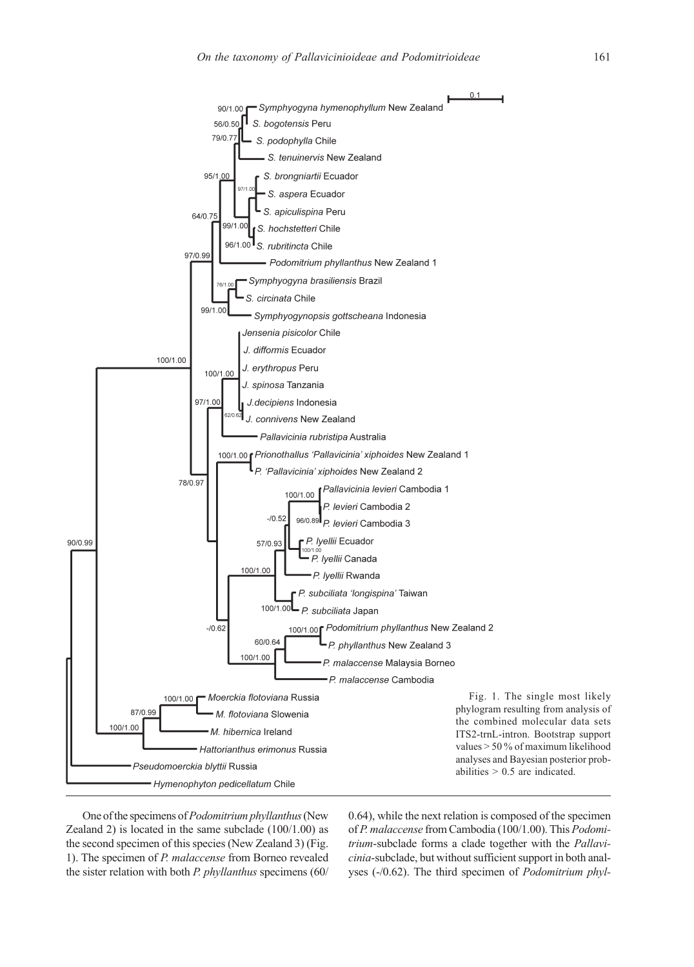

One of the specimens of Podomitrium phyllanthus (New Zealand 2) is located in the same subclade  $(100/1.00)$  as the second specimen of this species (New Zealand 3) (Fig. 1). The specimen of P. malaccense from Borneo revealed the sister relation with both P. phyllanthus specimens (60/ 0.64), while the next relation is composed of the specimen of P. malaccense from Cambodia (100/1.00). This Podomitrium-subclade forms a clade together with the Pallavicinia-subclade, but without sufficient support in both analyses (-/0.62). The third specimen of Podomitrium phyl-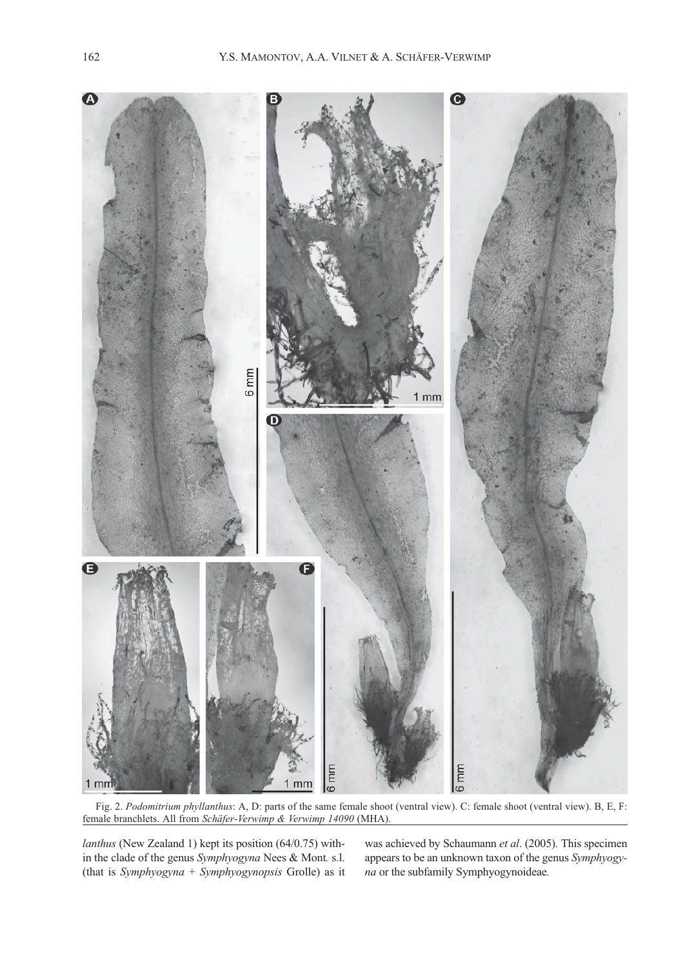

Fig. 2. Podomitrium phyllanthus: A, D: parts of the same female shoot (ventral view). C: female shoot (ventral view). B, E, F: female branchlets. All from Schäfer-Verwimp & Verwimp 14090 (MHA).

lanthus (New Zealand 1) kept its position (64/0.75) within the clade of the genus Symphyogyna Nees & Mont. s.l. (that is Symphyogyna + Symphyogynopsis Grolle) as it

was achieved by Schaumann et al. (2005). This specimen appears to be an unknown taxon of the genus Symphyogyna or the subfamily Symphyogynoideae.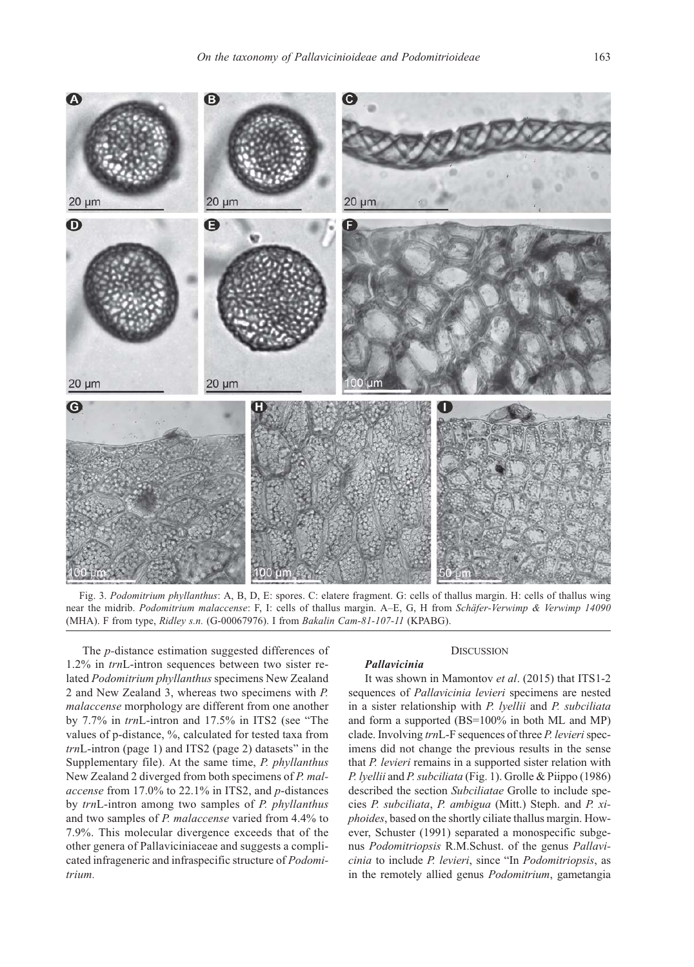

Fig. 3. Podomitrium phyllanthus: A, B, D, E: spores. C: elatere fragment. G: cells of thallus margin. H: cells of thallus wing near the midrib. Podomitrium malaccense: F, I: cells of thallus margin. A-E, G, H from Schäfer-Verwimp & Verwimp 14090 (MHA). F from type, Ridley s.n. (G-00067976). I from Bakalin Cam-81-107-11 (KPABG).

Pallavicinia

The p-distance estimation suggested differences of 1.2% in trnL-intron sequences between two sister related Podomitrium phyllanthus specimens New Zealand 2 and New Zealand 3, whereas two specimens with P. malaccense morphology are different from one another by 7.7% in trnL-intron and 17.5% in ITS2 (see "The values of p-distance, %, calculated for tested taxa from trnL-intron (page 1) and ITS2 (page 2) datasets" in the Supplementary file). At the same time, P. phyllanthus New Zealand 2 diverged from both specimens of P. malaccense from 17.0% to 22.1% in ITS2, and p-distances by trnL-intron among two samples of P. phyllanthus and two samples of P. malaccense varied from 4.4% to 7.9%. This molecular divergence exceeds that of the other genera of Pallaviciniaceae and suggests a complicated infrageneric and infraspecific structure of Podomitrium.

### **DISCUSSION**

It was shown in Mamontov et al. (2015) that ITS1-2 sequences of Pallavicinia levieri specimens are nested in a sister relationship with P. lyellii and P. subciliata and form a supported (BS=100% in both ML and MP) clade. Involving trnL-F sequences of three P. levieri specimens did not change the previous results in the sense that *P. levieri* remains in a supported sister relation with P. lyellii and P. subciliata (Fig. 1). Grolle & Piippo (1986) described the section Subciliatae Grolle to include species P. subciliata, P. ambigua (Mitt.) Steph. and P. xiphoides, based on the shortly ciliate thallus margin. However, Schuster (1991) separated a monospecific subgenus Podomitriopsis R.M.Schust. of the genus Pallavicinia to include P. levieri, since "In Podomitriopsis, as in the remotely allied genus Podomitrium, gametangia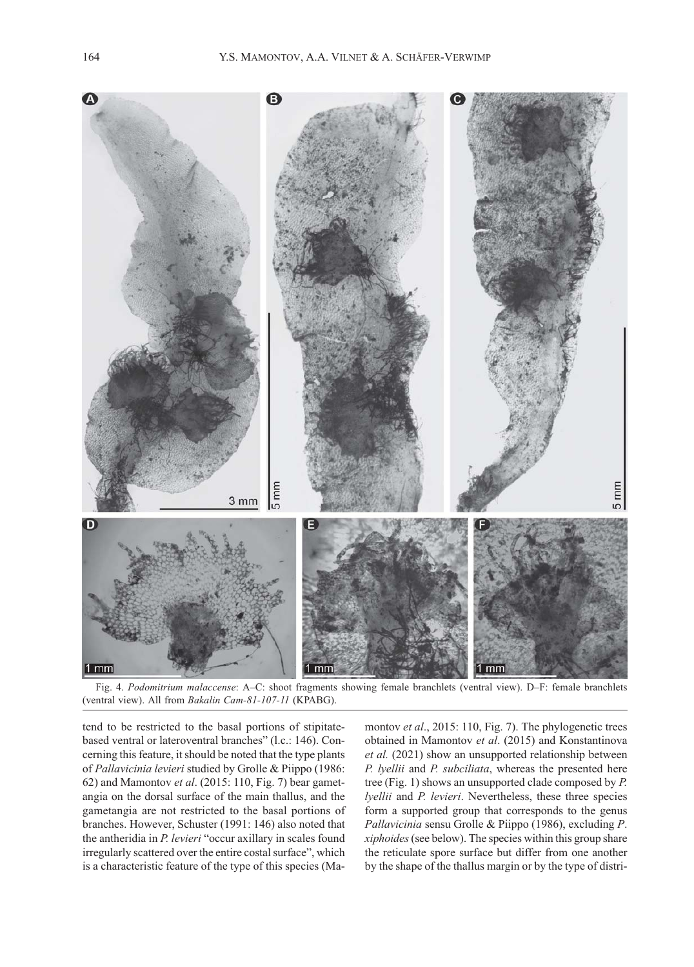

Fig. 4. Podomitrium malaccense: A–C: shoot fragments showing female branchlets (ventral view). D–F: female branchlets (ventral view). All from Bakalin Cam-81-107-11 (KPABG).

tend to be restricted to the basal portions of stipitatebased ventral or lateroventral branches" (l.c.: 146). Concerning this feature, it should be noted that the type plants of Pallavicinia levieri studied by Grolle & Piippo (1986: 62) and Mamontov et al. (2015: 110, Fig. 7) bear gametangia on the dorsal surface of the main thallus, and the gametangia are not restricted to the basal portions of branches. However, Schuster (1991: 146) also noted that the antheridia in P. levieri "occur axillary in scales found irregularly scattered over the entire costal surface", which is a characteristic feature of the type of this species (Ma-

montov et al., 2015: 110, Fig. 7). The phylogenetic trees obtained in Mamontov et al. (2015) and Konstantinova et al. (2021) show an unsupported relationship between P. lyellii and P. subciliata, whereas the presented here tree (Fig. 1) shows an unsupported clade composed by P. lyellii and P. levieri. Nevertheless, these three species form a supported group that corresponds to the genus Pallavicinia sensu Grolle & Piippo (1986), excluding P. xiphoides (see below). The species within this group share the reticulate spore surface but differ from one another by the shape of the thallus margin or by the type of distri-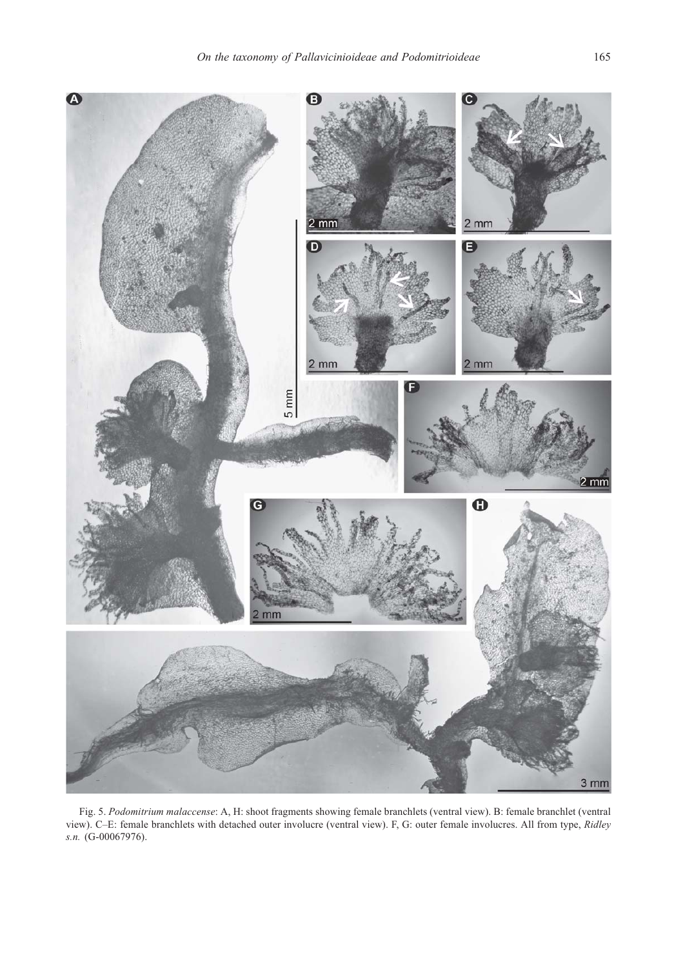

Fig. 5. Podomitrium malaccense: A, H: shoot fragments showing female branchlets (ventral view). B: female branchlet (ventral view). С–E: female branchlets with detached outer involucre (ventral view). F, G: outer female involucres. All from type, Ridley s.n. (G-00067976).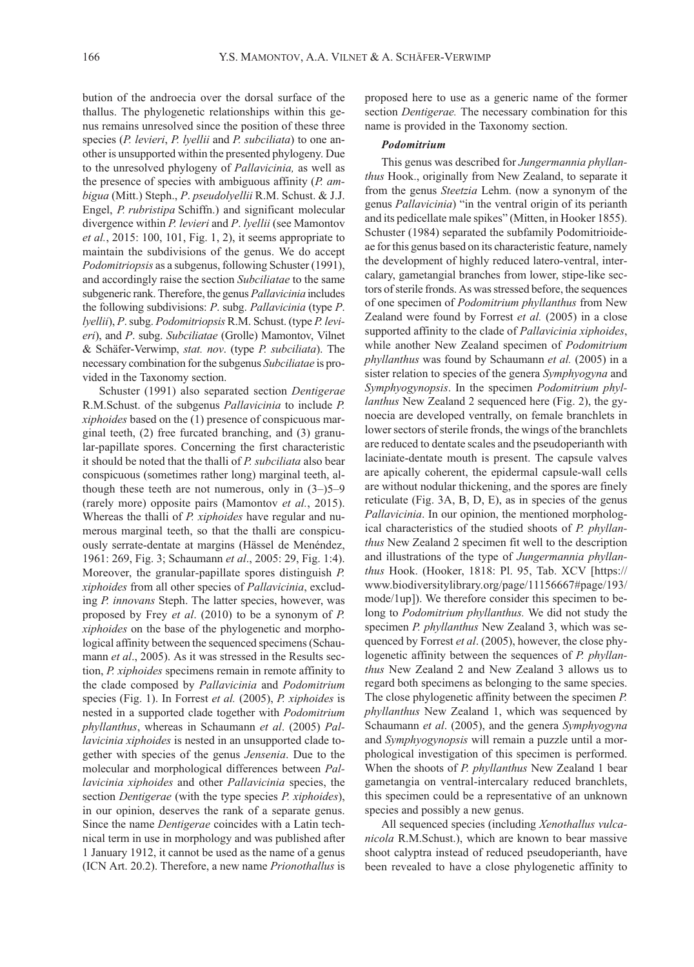bution of the androecia over the dorsal surface of the thallus. The phylogenetic relationships within this genus remains unresolved since the position of these three species (P. levieri, P. lyellii and P. subciliata) to one another is unsupported within the presented phylogeny. Due to the unresolved phylogeny of Pallavicinia, as well as the presence of species with ambiguous affinity  $(P. am$ bigua (Mitt.) Steph., P. pseudolyellii R.M. Schust. & J.J. Engel, P. rubristipa Schiffn.) and significant molecular divergence within *P. levieri* and *P. lyellii* (see Mamontov *et al.*, 2015: 100, 101, Fig. 1, 2), it seems appropriate to maintain the subdivisions of the genus. We do accept Podomitriopsis as a subgenus, following Schuster (1991), and accordingly raise the section Subciliatae to the same subgeneric rank. Therefore, the genus Pallavicinia includes the following subdivisions: P. subg. Pallavicinia (type P. lyellii), P. subg. Podomitriopsis R.M. Schust. (type P. levieri), and P. subg. Subciliatae (Grolle) Mamontov, Vilnet & Schäfer-Verwimp, stat. nov. (type P. subciliata). The necessary combination for the subgenus Subciliatae is provided in the Taxonomy section.

Schuster (1991) also separated section *Dentigerae* R.M.Schust. of the subgenus Pallavicinia to include P. xiphoides based on the (1) presence of conspicuous marginal teeth, (2) free furcated branching, and (3) granular-papillate spores. Concerning the first characteristic it should be noted that the thalli of P. subciliata also bear conspicuous (sometimes rather long) marginal teeth, although these teeth are not numerous, only in  $(3-)5-9$ (rarely more) opposite pairs (Mamontov et al., 2015). Whereas the thalli of *P. xiphoides* have regular and numerous marginal teeth, so that the thalli are conspicuously serrate-dentate at margins (Hässel de Menéndez, 1961: 269, Fig. 3; Schaumann et al., 2005: 29, Fig. 1:4). Moreover, the granular-papillate spores distinguish P. xiphoides from all other species of Pallavicinia, excluding P. innovans Steph. The latter species, however, was proposed by Frey et al. (2010) to be a synonym of P. xiphoides on the base of the phylogenetic and morphological affinity between the sequenced specimens (Schaumann et al., 2005). As it was stressed in the Results section, P. xiphoides specimens remain in remote affinity to the clade composed by Pallavicinia and Podomitrium species (Fig. 1). In Forrest et al. (2005), P. xiphoides is nested in a supported clade together with Podomitrium phyllanthus, whereas in Schaumann et al. (2005) Pallavicinia xiphoides is nested in an unsupported clade together with species of the genus Jensenia. Due to the molecular and morphological differences between Pallavicinia xiphoides and other Pallavicinia species, the section *Dentigerae* (with the type species *P. xiphoides*), in our opinion, deserves the rank of a separate genus. Since the name Dentigerae coincides with a Latin technical term in use in morphology and was published after 1 January 1912, it cannot be used as the name of a genus (ICN Art. 20.2). Therefore, a new name Prionothallus is

proposed here to use as a generic name of the former section *Dentigerae*. The necessary combination for this name is provided in the Taxonomy section.

# Podomitrium

This genus was described for Jungermannia phyllanthus Hook., originally from New Zealand, to separate it from the genus Steetzia Lehm. (now a synonym of the genus Pallavicinia) "in the ventral origin of its perianth and its pedicellate male spikes" (Mitten, in Hooker 1855). Schuster (1984) separated the subfamily Podomitrioideae for this genus based on its characteristic feature, namely the development of highly reduced latero-ventral, intercalary, gametangial branches from lower, stipe-like sectors of sterile fronds. As was stressed before, the sequences of one specimen of Podomitrium phyllanthus from New Zealand were found by Forrest et al. (2005) in a close supported affinity to the clade of *Pallavicinia xiphoides*, while another New Zealand specimen of Podomitrium phyllanthus was found by Schaumann et al. (2005) in a sister relation to species of the genera Symphyogyna and Symphyogynopsis. In the specimen Podomitrium phyllanthus New Zealand 2 sequenced here (Fig. 2), the gynoecia are developed ventrally, on female branchlets in lower sectors of sterile fronds, the wings of the branchlets are reduced to dentate scales and the pseudoperianth with laciniate-dentate mouth is present. The capsule valves are apically coherent, the epidermal capsule-wall cells are without nodular thickening, and the spores are finely reticulate (Fig. 3A, B, D, E), as in species of the genus Pallavicinia. In our opinion, the mentioned morphological characteristics of the studied shoots of P. phyllanthus New Zealand 2 specimen fit well to the description and illustrations of the type of Jungermannia phyllanthus Hook. (Hooker, 1818: Pl. 95, Tab. XCV [https:// www.biodiversitylibrary.org/page/11156667#page/193/ mode/1up]). We therefore consider this specimen to belong to Podomitrium phyllanthus. We did not study the specimen *P. phyllanthus* New Zealand 3, which was sequenced by Forrest et al. (2005), however, the close phylogenetic affinity between the sequences of P. phyllanthus New Zealand 2 and New Zealand 3 allows us to regard both specimens as belonging to the same species. The close phylogenetic affinity between the specimen P. phyllanthus New Zealand 1, which was sequenced by Schaumann et al. (2005), and the genera Symphyogyna and Symphyogynopsis will remain a puzzle until a morphological investigation of this specimen is performed. When the shoots of P. phyllanthus New Zealand 1 bear gametangia on ventral-intercalary reduced branchlets, this specimen could be a representative of an unknown species and possibly a new genus.

All sequenced species (including Xenothallus vulcanicola R.M.Schust.), which are known to bear massive shoot calyptra instead of reduced pseudoperianth, have been revealed to have a close phylogenetic affinity to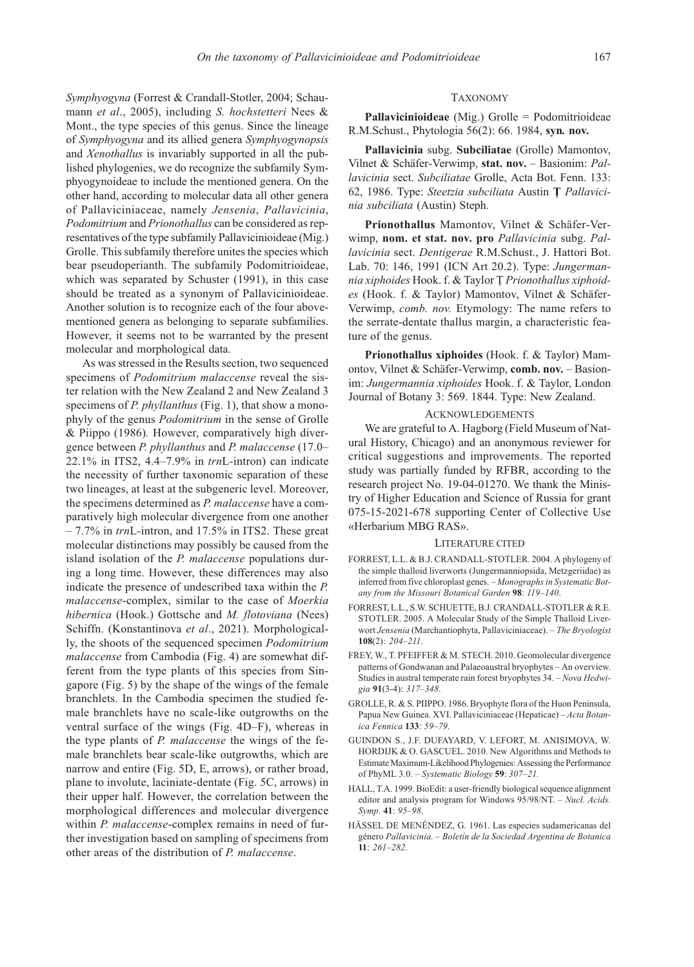Symphyogyna (Forrest & Crandall-Stotler, 2004; Schaumann et al., 2005), including S. hochstetteri Nees & Mont., the type species of this genus. Since the lineage of Symphyogyna and its allied genera Symphyogynopsis and Xenothallus is invariably supported in all the published phylogenies, we do recognize the subfamily Symphyogynoideae to include the mentioned genera. On the other hand, according to molecular data all other genera of Pallaviciniaceae, namely Jensenia, Pallavicinia, Podomitrium and Prionothallus can be considered as representatives of the type subfamily Pallavicinioideae (Mig.) Grolle. This subfamily therefore unites the species which bear pseudoperianth. The subfamily Podomitrioideae, which was separated by Schuster (1991), in this case should be treated as a synonym of Pallavicinioideae. Another solution is to recognize each of the four abovementioned genera as belonging to separate subfamilies. However, it seems not to be warranted by the present molecular and morphological data.

As was stressed in the Results section, two sequenced specimens of Podomitrium malaccense reveal the sister relation with the New Zealand 2 and New Zealand 3 specimens of *P. phyllanthus* (Fig. 1), that show a monophyly of the genus Podomitrium in the sense of Grolle & Piippo (1986). However, comparatively high divergence between P. phyllanthus and P. malaccense (17.0– 22.1% in ITS2,  $4.4-7.9%$  in  $trnL$ -intron) can indicate the necessity of further taxonomic separation of these two lineages, at least at the subgeneric level. Moreover, the specimens determined as P. malaccense have a comparatively high molecular divergence from one another  $-7.7\%$  in trnL-intron, and 17.5% in ITS2. These great molecular distinctions may possibly be caused from the island isolation of the *P. malaccense* populations during a long time. However, these differences may also indicate the presence of undescribed taxa within the P. malaccense-complex, similar to the case of Moerkia hibernica (Hook.) Gottsche and M. flotoviana (Nees) Schiffn. (Konstantinova et al., 2021). Morphologically, the shoots of the sequenced specimen Podomitrium malaccense from Cambodia (Fig. 4) are somewhat different from the type plants of this species from Singapore (Fig. 5) by the shape of the wings of the female branchlets. In the Cambodia specimen the studied female branchlets have no scale-like outgrowths on the ventral surface of the wings (Fig. 4D–F), whereas in the type plants of P. malaccense the wings of the female branchlets bear scale-like outgrowths, which are narrow and entire (Fig. 5D, E, arrows), or rather broad, plane to involute, laciniate-dentate (Fig. 5C, arrows) in their upper half. However, the correlation between the morphological differences and molecular divergence within P. malaccense-complex remains in need of further investigation based on sampling of specimens from other areas of the distribution of P. malaccense.

### TAXONOMY

Pallavicinioideae (Mig.) Grolle = Podomitrioideae R.M.Schust., Phytologia 56(2): 66. 1984, syn. nov.

Pallavicinia subg. Subciliatae (Grolle) Mamontov, Vilnet & Schäfer-Verwimp, stat. nov. – Basionim: Pallavicinia sect. Subciliatae Grolle, Acta Bot. Fenn. 133: 62, 1986. Type: Steetzia subciliata Austin Ţ Pallavicinia subciliata (Austin) Steph.

Prionothallus Mamontov, Vilnet & Schäfer-Verwimp, nom. et stat. nov. pro Pallavicinia subg. Pallavicinia sect. Dentigerae R.M.Schust., J. Hattori Bot. Lab. 70: 146, 1991 (ICN Art 20.2). Type: Jungermannia xiphoides Hook. f. & Taylor Ţ Prionothallus xiphoides (Hook. f. & Taylor) Mamontov, Vilnet & Schäfer-Verwimp, comb. nov. Etymology: The name refers to the serrate-dentate thallus margin, a characteristic feature of the genus.

Prionothallus xiphoides (Hook. f. & Taylor) Mamontov, Vilnet & Schäfer-Verwimp, comb. nov. – Basionim: Jungermannia xiphoides Hook. f. & Taylor, London Journal of Botany 3: 569. 1844. Type: New Zealand.

### ACKNOWLEDGEMENTS

We are grateful to A. Hagborg (Field Museum of Natural History, Chicago) and an anonymous reviewer for critical suggestions and improvements. The reported study was partially funded by RFBR, according to the research project No. 19-04-01270. We thank the Ministry of Higher Education and Science of Russia for grant 075-15-2021-678 supporting Center of Collective Use «Herbarium MBG RAS».

### LITERATURE CITED

- FORREST, L.L. & B.J. CRANDALL-STOTLER. 2004. A phylogeny of the simple thalloid liverworts (Jungermanniopsida, Metzgeriidae) as inferred from five chloroplast genes. – Monographs in Systematic Botany from the Missouri Botanical Garden 98: 119–140.
- FORREST, L.L., S.W. SCHUETTE, B.J. CRANDALL-STOTLER & R.E. STOTLER. 2005. A Molecular Study of the Simple Thalloid Liverwort Jensenia (Marchantiophyta, Pallaviciniaceae). – The Bryologist 108(2): 204–211.
- FREY, W., T. PFEIFFER & M. STECH. 2010. Geomolecular divergence patterns of Gondwanan and Palaeoaustral bryophytes – An overview. Studies in austral temperate rain forest bryophytes 34. – Nova Hedwigia 91(3-4): 317–348.
- GROLLE, R. & S. PIIPPO. 1986. Bryophyte flora of the Huon Peninsula, Papua New Guinea. XVI. Pallaviciniaceae (Hepaticae) – Acta Botanica Fennica 133: 59–79.
- GUINDON S., J.F. DUFAYARD, V. LEFORT, M. ANISIMOVA, W. HORDIJK & O. GASCUEL. 2010. New Algorithms and Methods to Estimate Maximum-Likelihood Phylogenies: Assessing the Performance of PhyML 3.0. – Systematic Biology 59: 307–21.
- HALL, T.A. 1999. BioEdit: a user-friendly biological sequence alignment editor and analysis program for Windows 95/98/NT. – Nucl. Acids. Symp. 41: 95–98.
- HÄSSEL DE MENÉNDEZ, G. 1961. Las especies sudamericanas del género Pallavicinia. – Boletín de la Sociedad Argentina de Botanica 11: 261–282.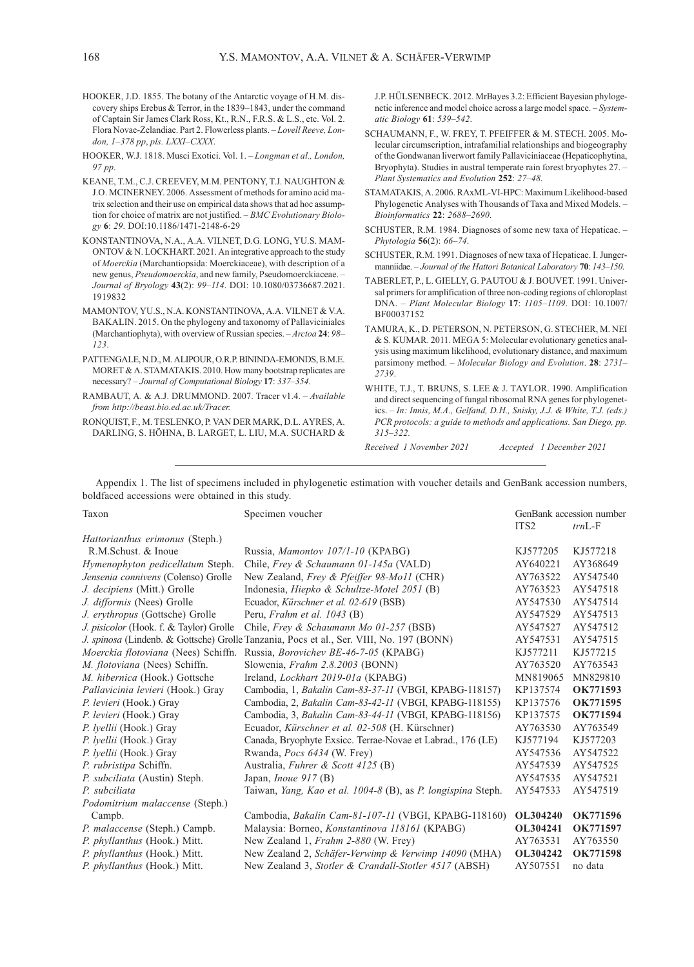- HOOKER, J.D. 1855. The botany of the Antarctic voyage of H.M. discovery ships Erebus & Terror, in the 1839–1843, under the command of Captain Sir James Clark Ross, Kt., R.N., F.R.S. & L.S., etc. Vol. 2. Flora Novae-Zelandiae. Part 2. Flowerless plants. – Lovell Reeve, London, 1–378 pp, pls. LXXI–CXXX.
- HOOKER, W.J. 1818. Musci Exotici. Vol. 1. Longman et al., London, 97 pp.
- KEANE, T.M., C.J. CREEVEY, M.M. PENTONY, T.J. NAUGHTON & J.O. MCINERNEY. 2006. Assessment of methods for amino acid matrix selection and their use on empirical data shows that ad hoc assumption for choice of matrix are not justified. – BMC Evolutionary Biology 6: 29. DOI:10.1186/1471-2148-6-29
- KONSTANTINOVA, N.A., A.A. VILNET, D.G. LONG, YU.S. MAM-ONTOV & N. LOCKHART. 2021. An integrative approach to the study of Moerckia (Marchantiopsida: Moerckiaceae), with description of a new genus, Pseudomoerckia, and new family, Pseudomoerckiaceae. – Journal of Bryology 43(2): 99–114. DOI: 10.1080/03736687.2021. 1919832
- MAMONTOV, YU.S., N.A. KONSTANTINOVA, A.A. VILNET & V.A. BAKALIN. 2015. On the phylogeny and taxonomy of Pallaviciniales (Marchantiophyta), with overview of Russian species. – Arctoa 24: 98– 123.
- PATTENGALE, N.D., M. ALIPOUR, O.R.P. BININDA-EMONDS, B.M.E. MORET & A. STAMATAKIS. 2010. How many bootstrap replicates are necessary? – Journal of Computational Biology 17: 337–354.
- RAMBAUT, A. & A.J. DRUMMOND. 2007. Tracer v1.4. Available from http://beast.bio.ed.ac.uk/Tracer.
- RONQUIST, F., M. TESLENKO, P. VAN DER MARK, D.L. AYRES, A. DARLING, S. HÖHNA, B. LARGET, L. LIU, M.A. SUCHARD &

J.P. HÜLSENBECK. 2012. MrBayes 3.2: Efficient Bayesian phylogenetic inference and model choice across a large model space. – Systematic Biology 61: 539–542.

- SCHAUMANN, F., W. FREY, T. PFEIFFER & M. STECH. 2005. Molecular circumscription, intrafamilial relationships and biogeography of the Gondwanan liverwort family Pallaviciniaceae (Hepaticophytina, Bryophyta). Studies in austral temperate rain forest bryophytes 27. – Plant Systematics and Evolution 252: 27–48.
- STAMATAKIS, A. 2006. RAxML-VI-HPC: Maximum Likelihood-based Phylogenetic Analyses with Thousands of Taxa and Mixed Models. – Bioinformatics 22: 2688–2690.
- SCHUSTER, R.M. 1984. Diagnoses of some new taxa of Hepaticae. Phytologia 56(2): 66–74.
- SCHUSTER, R.M. 1991. Diagnoses of new taxa of Hepaticae. I. Jungermanniidae. – Journal of the Hattori Botanical Laboratory 70: 143–150.
- TABERLET, P., L. GIELLY, G. PAUTOU & J. BOUVET. 1991. Universal primers for amplification of three non-coding regions of chloroplast DNA. – Plant Molecular Biology 17: 1105–1109. DOI: 10.1007/ BF00037152
- TAMURA, K., D. PETERSON, N. PETERSON, G. STECHER, M. NEI & S. KUMAR. 2011. MEGA 5: Molecular evolutionary genetics analysis using maximum likelihood, evolutionary distance, and maximum parsimony method. – Molecular Biology and Evolution. 28: 2731– 2739.
- WHITE, T.J., T. BRUNS, S. LEE & J. TAYLOR. 1990. Amplification and direct sequencing of fungal ribosomal RNA genes for phylogenetics. – In: Innis, M.A., Gelfand, D.H., Snisky, J.J. & White, T.J. (eds.) PCR protocols: a guide to methods and applications. San Diego, pp. 315–322.

Received 1 November 2021 Accepted 1 December 2021

Appendix 1. The list of specimens included in phylogenetic estimation with voucher details and GenBank accession numbers, boldfaced accessions were obtained in this study.

| Taxon                                                                                    | Specimen voucher                                                           | GenBank accession number |          |
|------------------------------------------------------------------------------------------|----------------------------------------------------------------------------|--------------------------|----------|
|                                                                                          |                                                                            | ITS <sub>2</sub>         | $trnL-F$ |
| <i>Hattorianthus erimonus</i> (Steph.)                                                   |                                                                            |                          |          |
| R.M.Schust. & Inoue                                                                      | Russia, Mamontov 107/1-10 (KPABG)                                          | KJ577205                 | KJ577218 |
| Hymenophyton pedicellatum Steph.                                                         | Chile, Frey & Schaumann 01-145a (VALD)                                     | AY640221                 | AY368649 |
| Jensenia connivens (Colenso) Grolle                                                      | New Zealand, Frey & Pfeiffer 98-Mo11 (CHR)                                 | AY763522                 | AY547540 |
| J. decipiens (Mitt.) Grolle                                                              | Indonesia, Hiepko & Schultze-Motel 2051 (B)                                | AY763523                 | AY547518 |
| J. difformis (Nees) Grolle                                                               | Ecuador, Kürschner et al. 02-619 (BSB)                                     | AY547530                 | AY547514 |
| J. erythropus (Gottsche) Grolle                                                          | Peru, <i>Frahm et al.</i> 1043 (B)                                         | AY547529                 | AY547513 |
| J. pisicolor (Hook. f. & Taylor) Grolle                                                  | Chile, Frey & Schaumann Mo 01-257 (BSB)                                    | AY547527                 | AY547512 |
| J. spinosa (Lindenb. & Gottsche) Grolle Tanzania, Pocs et al., Ser. VIII, No. 197 (BONN) |                                                                            | AY547531                 | AY547515 |
| Moerckia flotoviana (Nees) Schiffn.                                                      | Russia, <i>Borovichev BE-46-7-05</i> (KPABG)                               | KJ577211                 | KJ577215 |
| M. flotoviana (Nees) Schiffn.                                                            | Slowenia, Frahm 2.8.2003 (BONN)                                            | AY763520                 | AY763543 |
| M. hibernica (Hook.) Gottsche                                                            | Ireland, <i>Lockhart 2019-01a</i> (KPABG)                                  | MN819065                 | MN829810 |
| Pallavicinia levieri (Hook.) Gray                                                        | Cambodia, 1, Bakalin Cam-83-37-11 (VBGI, KPABG-118157)                     | KP137574                 | OK771593 |
| P. levieri (Hook.) Gray                                                                  | Cambodia, 2, Bakalin Cam-83-42-11 (VBGI, KPABG-118155)                     | KP137576                 | OK771595 |
| P. levieri (Hook.) Gray                                                                  | Cambodia, 3, Bakalin Cam-83-44-11 (VBGI, KPABG-118156)                     | KP137575                 | OK771594 |
| P. lyellii (Hook.) Gray                                                                  | Ecuador, Kürschner et al. 02-508 (H. Kürschner)                            | AY763530                 | AY763549 |
| P. lyellii (Hook.) Gray                                                                  | Canada, Bryophyte Exsicc. Terrae-Novae et Labrad., 176 (LE)                | KJ577194                 | KJ577203 |
| P. lyellii (Hook.) Gray                                                                  | Rwanda, Pocs 6434 (W. Frey)                                                | AY547536                 | AY547522 |
| P. rubristipa Schiffn.                                                                   | Australia, Fuhrer & Scott 4125 (B)                                         | AY547539                 | AY547525 |
| P. subciliata (Austin) Steph.                                                            | Japan, <i>Inoue</i> $917$ (B)                                              | AY547535                 | AY547521 |
| P. subciliata                                                                            | Taiwan, <i>Yang, Kao et al. 1004-8</i> (B), as <i>P. longispina</i> Steph. | AY547533                 | AY547519 |
| Podomitrium malaccense (Steph.)                                                          |                                                                            |                          |          |
| Campb.                                                                                   | Cambodia, Bakalin Cam-81-107-11 (VBGI, KPABG-118160)                       | <b>OL304240</b>          | OK771596 |
| P. malaccense (Steph.) Campb.                                                            | Malaysia: Borneo, Konstantinova 118161 (KPABG)                             | OL304241                 | OK771597 |
| P. phyllanthus (Hook.) Mitt.                                                             | New Zealand 1, Frahm 2-880 (W. Frey)                                       | AY763531                 | AY763550 |
| P. phyllanthus (Hook.) Mitt.                                                             | New Zealand 2, Schäfer-Verwimp & Verwimp 14090 (MHA)                       | OL304242                 | OK771598 |
| P. phyllanthus (Hook.) Mitt.                                                             | New Zealand 3, Stotler & Crandall-Stotler 4517 (ABSH)                      | AY507551                 | no data  |